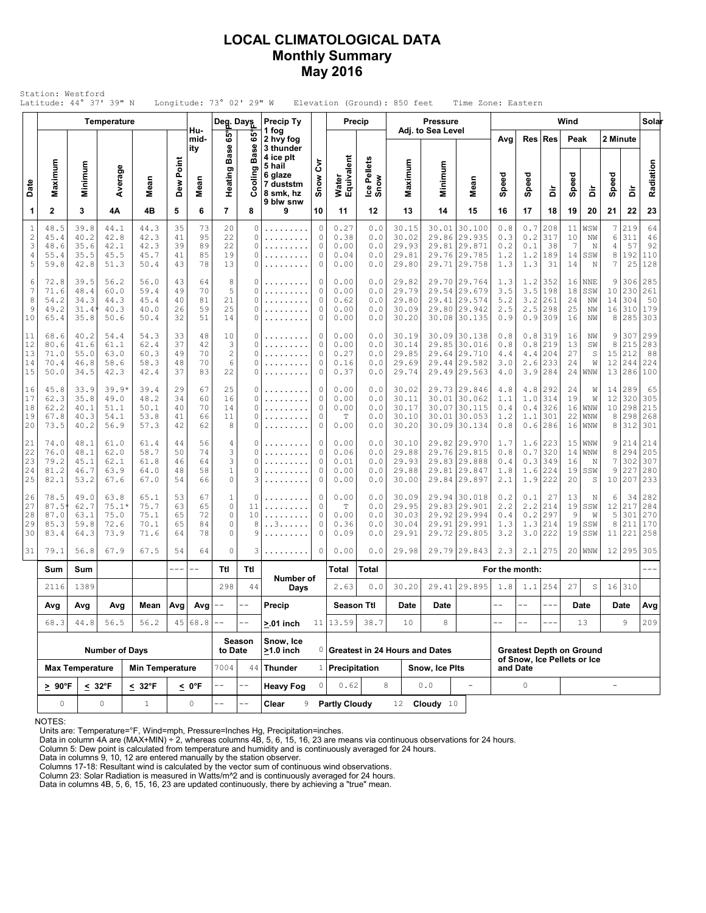### **LOCAL CLIMATOLOGICAL DATA Monthly Summary May 2016**

|                                               | Station: Westford<br>Latitude: 44° 37' 39" N |                                         |                                         |                                               |                            |                            | Longitude: $73^\circ$ 02' 29" W               |                               |                                                                                    |                             |                                             |                                 | Elevation (Ground): 850 feet              |                                      | Time Zone: Eastern                                                           |                                 |                                 |                                                                |                            |                              |                                     |                                    |                                 |
|-----------------------------------------------|----------------------------------------------|-----------------------------------------|-----------------------------------------|-----------------------------------------------|----------------------------|----------------------------|-----------------------------------------------|-------------------------------|------------------------------------------------------------------------------------|-----------------------------|---------------------------------------------|---------------------------------|-------------------------------------------|--------------------------------------|------------------------------------------------------------------------------|---------------------------------|---------------------------------|----------------------------------------------------------------|----------------------------|------------------------------|-------------------------------------|------------------------------------|---------------------------------|
|                                               |                                              |                                         | Temperature                             |                                               |                            | Hu-                        | Deg. Days                                     |                               | Precip Ty<br>1 fog                                                                 |                             | Precip                                      |                                 |                                           | <b>Pressure</b><br>Adj. to Sea Level |                                                                              |                                 |                                 |                                                                | Wind                       |                              |                                     |                                    | Solar                           |
| Date                                          | Maximum                                      | Minimum                                 | Average                                 | Mean                                          | Dew Point                  | mid-<br>ity<br>Mean        | ទី<br><b>Base</b><br>Heating                  | မ္မ<br><b>Base</b><br>Cooling | 2 hvy fog<br>3 thunder<br>4 ice plt<br>5 hail<br>6 glaze<br>7 duststm<br>8 smk, hz | ξ<br>Snow                   | Water<br>Equivalent                         | Ice Pellets<br>Snow             | Maximum                                   | Minimum                              | Mean                                                                         | Avg<br>Speed                    | Res<br>Speed                    | <b>Res</b><br>à                                                | Peak<br>Speed              | ă                            | 2 Minute<br>Speed                   | 훔                                  | Radiation                       |
| 1                                             | $\mathbf{2}$                                 | 3                                       | 4Α                                      | 4B                                            | 5                          | 6                          | $\overline{7}$                                | 8                             | 9 blw snw<br>9                                                                     | 10                          | 11                                          | 12                              | 13                                        | 14                                   | 15                                                                           | 16                              | 17                              | 18                                                             | 19                         | 20                           | 21                                  | 22                                 | 23                              |
| $\mathbf{1}$<br>$\overline{c}$<br>3<br>4<br>5 | 48.5<br>45.4<br>48.6<br>55.4<br>59.8         | 39.8<br>40.2<br>35.6<br>35.5<br>42.8    | 44.1<br>42.8<br>42.1<br>45.5<br>51.3    | 44.3<br>42.3<br>42.3<br>45.7<br>50.4          | 35<br>41<br>39<br>41<br>43 | 73<br>95<br>89<br>85<br>78 | 20<br>22<br>22<br>19<br>13                    | 0<br>0<br>0<br>0<br>0         | .<br>.                                                                             | 0<br>$\circ$<br>0<br>0<br>0 | 0.27<br>0.38<br>0.00<br>0.04<br>0.00        | 0.0<br>0.0<br>0.0<br>0.0<br>0.0 | 30.15<br>30.02<br>29.93<br>29.81<br>29.80 | 30.01<br>29.81<br>29.71              | 30.100<br>29.86 29.935<br> 29.871<br>29.76 29.785<br> 29.758                 | 0.8<br>0.3<br>0.2<br>1.2<br>1.3 | 0.7<br>0.2<br>0.1<br>1.2<br>1.3 | 208<br>317<br>38<br>189<br>31                                  | 11<br>10<br>7<br>14<br>14  | WSW<br>NW<br>Ν<br>SSW<br>N   | 7<br>6<br>4<br>8<br>7               | 219<br>311<br>57<br>192<br>25      | 64<br>46<br>92<br>110<br>128    |
| 6<br>7<br>8<br>9<br>10                        | 72.8<br>71.6<br>54.2<br>49.2<br>65.4         | 39.5<br>48.4<br>34.3<br>31.4<br>35.8    | 56.2<br>60.0<br>44.3<br>40.3<br>50.6    | 56.0<br>59.4<br>45.4<br>40.0<br>50.4          | 43<br>49<br>40<br>26<br>32 | 64<br>70<br>81<br>59<br>51 | 8<br>5<br>21<br>25<br>14                      | 0<br>0<br>0<br>0<br>0         | .<br>.<br>.                                                                        | 0<br>0<br>0<br>0<br>0       | 0.00<br>0.00<br>0.62<br>0.00<br>0.00        | 0.0<br>0.0<br>0.0<br>0.0<br>0.0 | 29.82<br>29.79<br>29.80<br>30.09<br>30.20 | 29.41                                | 29.70 29.764<br>29.54 29.679<br> 29.574<br>29.80 29.942<br>30.08 30.135      | 1.3<br>3.5<br>5.2<br>2.5<br>0.9 | 1.2<br>3.5<br>3.2<br>2.5<br>0.9 | 352<br>198<br>261<br>298<br>309                                | 16<br>18<br>24<br>25<br>16 | NNE<br>SSW<br>NW<br>ΝW<br>NW | 9<br>10<br>14<br>16<br>8            | 306<br>230<br>304<br>310<br>285    | 285<br>261<br>50<br>179<br>303  |
| 11<br>12<br>13<br>14<br>15                    | 68.6<br>80.6<br>71.0<br>70.4<br>50.0         | 40.2<br>41.6<br>55.0<br>46.8<br>34.5    | 54.4<br>61.1<br>63.0<br>58.6<br>42.3    | 54.3<br>62.4<br>60.3<br>58.3<br>42.4          | 33<br>37<br>49<br>48<br>37 | 48<br>42<br>70<br>70<br>83 | 10<br>3<br>$\overline{2}$<br>6<br>22          | 0<br>0<br>0<br>0<br>0         | .<br>.<br>.<br>.<br>.                                                              | 0<br>0<br>0<br>0<br>0       | 0.00<br>0.00<br>0.27<br>0.16<br>0.37        | 0.0<br>0.0<br>0.0<br>0.0<br>0.0 | 30.19<br>30.14<br>29.85<br>29.69<br>29.74 |                                      | 30.09 30.138<br>29.85 30.016<br>29.64 29.710<br>29.44 29.582<br>29.49 29.563 | 0.8<br>0.8<br>4.4<br>3.0<br>4.0 | 0.8<br>0.8<br>4.4<br>2.6<br>3.9 | 319<br>219<br>204<br>233<br>284                                | 16<br>13<br>27<br>24<br>24 | ΝW<br>SW<br>S<br>W<br>WNW    | 9<br>8<br>15<br>12                  | 307<br>215<br>212<br>244<br>13 286 | 299<br>283<br>88<br>224<br>100  |
| 16<br>17<br>18<br>19<br>20                    | 45.8<br>62.3<br>62.2<br>67.8<br>73.5         | 33.9<br>35.8<br>40.1<br>40.3<br>40.2    | $39.9*$<br>49.0<br>51.1<br>54.1<br>56.9 | 39.4<br>48.2<br>50.1<br>53.8<br>57.3          | 29<br>34<br>40<br>41<br>42 | 67<br>60<br>70<br>66<br>62 | 25<br>16<br>14<br>11<br>8                     | 0<br>0<br>0<br>0<br>0         | .<br>.<br>.<br>.                                                                   | 0<br>0<br>0<br>0<br>0       | 0.00<br>0.00<br>0.00<br>Т<br>0.00           | 0.0<br>0.0<br>0.0<br>0.0<br>0.0 | 30.02<br>30.11<br>30.17<br>30.10<br>30.20 | 30.01                                | 29.73 29.846<br> 30.062<br>30.07 30.115<br>30.01 30.053<br>30.09 30.134      | 4.8<br>1.1<br>0.4<br>1.2<br>0.8 | 4.8<br>1.0<br>0.4<br>1.1<br>0.6 | 292<br>314<br>326<br>301<br>286                                | 24<br>19<br>16<br>22<br>16 | W<br>W<br>WNW<br>WNW<br>WNW  | 14 <br>12<br>8<br>8                 | 289<br>320<br>10 298<br>298<br>312 | 65<br>305<br>215<br>268<br>301  |
| 21<br>22<br>23<br>24<br>25                    | 74.0<br>76.0<br>79.2<br>81.2<br>82.1         | 48.1<br>48.1<br>45.1<br>46.7<br>53.2    | 61.0<br>62.0<br>62.1<br>63.9<br>67.6    | 61.4<br>58.7<br>61.8<br>64.0<br>67.0          | 44<br>50<br>46<br>48<br>54 | 56<br>74<br>64<br>58<br>66 | 4<br>3<br>3<br>$\,1\,$<br>$\circ$             | 0<br>0<br>0<br>0<br>3         | .                                                                                  | 0<br>0<br>0<br>0<br>0       | 0.00<br>0.06<br>0.01<br>0.00<br>0.00        | 0.0<br>0.0<br>0.0<br>0.0<br>0.0 | 30.10<br>29.88<br>29.93<br>29.88<br>30.00 | 29.81                                | 29.82 29.970<br>29.76 29.815<br>29.83 29.888<br> 29.847<br>29.84 29.897      | 1.7<br>0.8<br>0.4<br>1.8<br>2.1 | 1.6<br>0.7<br>0.3<br>1.6<br>1.9 | 223<br>320<br>349<br>224<br>222                                | 15<br>14<br>16<br>19<br>20 | WNW<br>WNW<br>N<br>SSW<br>S  | 9<br>8<br>7<br>9<br>10 <sub>1</sub> | 214<br>294<br>302<br>227<br>207    | 214<br>205<br>307<br>280<br>233 |
| 26<br>27<br>28<br>29<br>30                    | 78.5<br>87.5<br>87.0<br>85.3<br>83.4         | 49.0<br>62.7<br>63.1<br>59.8<br>64.3    | 63.8<br>$75.1*$<br>75.0<br>72.6<br>73.9 | 65.1<br>75.7<br>75.1<br>70.1<br>71.6          | 53<br>63<br>65<br>65<br>64 | 67<br>65<br>72<br>84<br>78 | 1<br>$\circ$<br>$\circ$<br>$\circ$<br>$\circ$ | 0<br>11<br>10<br>8<br>9       | . . 3.<br>.                                                                        | 0<br>0<br>0<br>0<br>0       | 0.00<br>$\mathbb T$<br>0.00<br>0.36<br>0.09 | 0.0<br>0.0<br>0.0<br>0.0<br>0.0 | 30.09<br>29.95<br>30.03<br>30.04<br>29.91 | 29.83<br>29.91                       | 29.94 30.018<br>29.901<br>29.92 29.994<br>29.991<br>29.72 29.805             | 0.2<br>2.2<br>0.4<br>1.3<br>3.2 | 0.1<br>2.2<br>0.2<br>1.3<br>3.0 | 27<br>214<br>297<br>214<br>222                                 | 13<br>19<br>9<br>19<br>19  | N<br>SSW<br>W<br>SSW<br>SSW  | 6<br>12<br>5<br>8<br>11             | 34<br>217<br>301<br>211<br>221     | 282<br>284<br>270<br>170<br>258 |
| 31                                            | 79.1                                         | 56.8                                    | 67.9                                    | 67.5                                          | 54                         | 64                         | $\circ$                                       | 3                             | .                                                                                  | 0                           | 0.00                                        | 0.0                             | 29.98                                     |                                      | 29.79 29.843                                                                 | 2.3                             | 2.1                             | 275                                                            |                            | $20$   WNW                   |                                     | 12 295                             | 305                             |
|                                               | Sum                                          | Sum                                     |                                         |                                               | $---$                      | $- -$                      | Ttl                                           | Ttl                           | Number of                                                                          |                             | Total                                       | Total                           |                                           |                                      |                                                                              | For the month:                  |                                 |                                                                |                            |                              |                                     |                                    |                                 |
|                                               | 2116                                         | 44<br>1389<br>298<br>Days<br>Avg<br>Avg |                                         |                                               |                            | 0.0                        | 30.20                                         | 29.41                         | 129.895                                                                            | 1.8                         | 1.1                                         | 254                             | 27                                        | S                                    |                                                                              | 16 310                          |                                 |                                                                |                            |                              |                                     |                                    |                                 |
|                                               | Avg<br>68.3                                  | Mean<br>56.2                            |                                         | $Avg$ Avg<br>45 68.8                          | $- \, -$<br>$- -$          | $-$                        | Precip<br>$> 01$ inch                         |                               | Season Ttl<br>11 13.59 38.7                                                        |                             | Date<br>10                                  | Date<br>8                       |                                           | $- -$<br>$-1$                        | $- -$                                                                        |                                 |                                 | Date<br>13                                                     |                            | Date<br>9                    | Avg<br>209                          |                                    |                                 |
|                                               |                                              | 44.8                                    | 56.5                                    |                                               |                            |                            |                                               | Season                        | Snow, Ice                                                                          |                             |                                             |                                 |                                           |                                      |                                                                              |                                 |                                 |                                                                |                            |                              |                                     |                                    |                                 |
|                                               |                                              | <b>Max Temperature</b>                  | <b>Number of Days</b>                   |                                               |                            |                            | to Date<br>7004                               | 44                            | >1.0 inch<br><b>Thunder</b>                                                        |                             |                                             |                                 | 0 Greatest in 24 Hours and Dates          |                                      |                                                                              |                                 | and Date                        | <b>Greatest Depth on Ground</b><br>of Snow, Ice Pellets or Ice |                            |                              |                                     |                                    |                                 |
|                                               | $\geq 90^{\circ}$ F                          |                                         | $\leq 32^{\circ}F$                      | <b>Min Temperature</b><br>$\leq 32^{\circ}$ F |                            | $\leq 0$ °F                | $-$                                           | $ -$                          | <b>Heavy Fog</b>                                                                   | 0                           | 1 Precipitation<br>0.62                     |                                 | 8                                         | Snow, Ice Pits<br>0.0                | $\equiv$                                                                     |                                 | $\circ$                         |                                                                |                            |                              | ÷,                                  |                                    |                                 |
|                                               | 0                                            |                                         | $\mathbb O$                             | $\mathbf{1}$                                  |                            | 0                          | $-$                                           | $ -$                          | Clear<br>9                                                                         |                             | <b>Partly Cloudy</b>                        |                                 |                                           | 12 <b>Cloudy</b> 10                  |                                                                              |                                 |                                 |                                                                |                            |                              |                                     |                                    |                                 |

NOTES:

Units are: Temperature=°F, Wind=mph, Pressure=Inches Hg, Precipitation=inches. Data in column 4A are (MAX+MIN) ÷ 2, whereas columns 4B, 5, 6, 15, 16, 23 are means via continuous observations for 24 hours.

Column 5: Dew point is calculated from temperature and humidity and is continuously averaged for 24 hours.

Data in columns 9, 10, 12 are entered manually by the station observer. Columns 17-18: Resultant wind is calculated by the vector sum of continuous wind observations.

Column 23: Solar Radiation is measured in Watts/m^2 and is continuously averaged for 24 hours.

Data in columns 4B, 5, 6, 15, 16, 23 are updated continuously, there by achieving a "true" mean.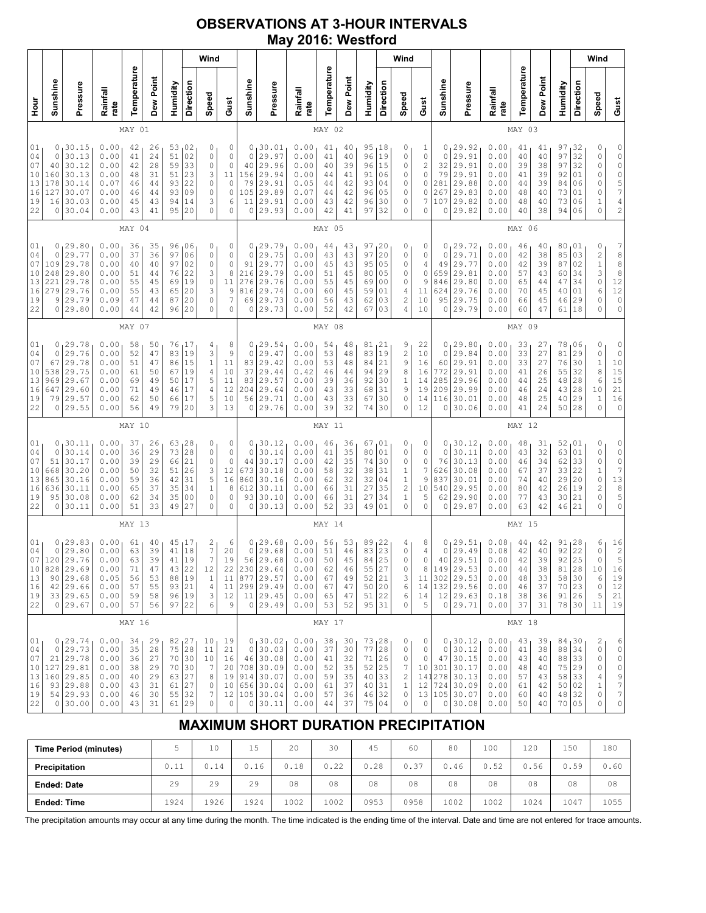## **OBSERVATIONS AT 3-HOUR INTERVALS May 2016: Westford**

|                                                               |                                              |                                                                                              |                                                              |                                              |                                              |                                                                       |                                                          | Wind                                            |                                                                                 |                                                                  |                                                                                                         |                                                              |                                              |                                              |                                                                           |                                                            | Wind                                                              |                                              |                                                    |                                                                                                        |                                                              |                                              |                                              |                                                                      |                                                             | Wind                                                                                           |                                                                                                                         |
|---------------------------------------------------------------|----------------------------------------------|----------------------------------------------------------------------------------------------|--------------------------------------------------------------|----------------------------------------------|----------------------------------------------|-----------------------------------------------------------------------|----------------------------------------------------------|-------------------------------------------------|---------------------------------------------------------------------------------|------------------------------------------------------------------|---------------------------------------------------------------------------------------------------------|--------------------------------------------------------------|----------------------------------------------|----------------------------------------------|---------------------------------------------------------------------------|------------------------------------------------------------|-------------------------------------------------------------------|----------------------------------------------|----------------------------------------------------|--------------------------------------------------------------------------------------------------------|--------------------------------------------------------------|----------------------------------------------|----------------------------------------------|----------------------------------------------------------------------|-------------------------------------------------------------|------------------------------------------------------------------------------------------------|-------------------------------------------------------------------------------------------------------------------------|
| Hour<br>H                                                     | Sunshine                                     | Pressure                                                                                     | Rainfall<br>rate                                             | Temperature                                  | Dew Point                                    | Humidity                                                              | Direction                                                | Speed                                           | Gust                                                                            | Sunshine                                                         | Pressure                                                                                                | Rainfall<br>rate                                             | Temperature                                  | Dew Point                                    | Humidity                                                                  | Direction                                                  | Speed                                                             | Gust                                         | Sunshine                                           | Pressure                                                                                               | Rainfall<br>rate                                             | Temperature                                  | Dew Point                                    | Humidity                                                             | Direction                                                   | Speed                                                                                          | Gust                                                                                                                    |
|                                                               |                                              |                                                                                              |                                                              | MAY 01                                       |                                              |                                                                       |                                                          |                                                 |                                                                                 |                                                                  |                                                                                                         |                                                              | MAY 02                                       |                                              |                                                                           |                                                            |                                                                   |                                              |                                                    |                                                                                                        |                                                              | MAY 03                                       |                                              |                                                                      |                                                             |                                                                                                |                                                                                                                         |
| 01<br>04<br>07<br>$10$<br>13<br>16<br>19<br>22                | 0<br>0<br>40<br>160<br>178<br>127<br>16<br>0 | 30.15<br>30.13<br>30.12<br>30.13<br>30.14<br>30.07<br>30.03<br>30.04                         | 0.00<br>0.00<br>0.00<br>0.00<br>0.07<br>0.00<br>0.00<br>0.00 | 42<br>41<br>42<br>48<br>46<br>46<br>45<br>43 | 26<br>24<br>28<br>31<br>44<br>44<br>43<br>41 | 53,02<br>51<br>59<br>51<br>93<br>93<br>94<br>95                       | 02<br>33<br>23<br>22<br>09<br>14<br>20                   | 0<br>0<br>0<br>3<br>0<br>0<br>3<br>0            | 0<br>$\mathbb O$<br>$\mathbb O$<br>11<br>$\circ$<br>$\circ$<br>6<br>$\mathbf 0$ | 0<br>$\circ$<br>40<br>156<br>79<br>105<br>11<br>$\circ$          | 130.01<br>29.97<br>29.96<br>29.94<br>29.91<br>29.89<br>29.91<br>29.93                                   | 0.00<br>0.00<br>0.00<br>0.00<br>0.05<br>0.07<br>0.00<br>0.00 | 41<br>41<br>40<br>44<br>44<br>44<br>43<br>42 | 40<br>40<br>39<br>41<br>42<br>42<br>42<br>41 | $\frac{95}{96}$ $\Big  \frac{18}{19}$<br>96<br>91<br>93<br>96<br>96<br>97 | 15<br>06<br>04<br>05<br>30<br>32                           | 0<br>0<br>0<br>0<br>0<br>0<br>0<br>0                              | 1<br>0<br>2<br>0<br>0<br>0<br>7<br>0         | 0<br>0<br>32<br>79<br>281<br>267<br>107<br>0       | 29.92<br>29.91<br>29.91<br>29.91<br>29.88<br>29.83<br>29.82<br>29.82                                   | 0.00<br>0.00<br>0.00<br>0.00<br>0.00<br>0.00<br>0.00<br>0.00 | 41<br>40<br>39<br>41<br>44<br>48<br>48<br>40 | 41<br>40<br>38<br>39<br>39<br>40<br>40<br>38 | 97<br>97<br>97<br>92<br>84<br>73<br>73<br>94                         | 32 ا<br>$\overline{32}$<br>32<br>01<br>06<br>01<br>06<br>06 | 0<br>0<br>0<br>$\circ$<br>0<br>0<br>$1\,$<br>0                                                 | $0$<br>0<br>0<br>$\begin{array}{c} 0 \\ 5 \\ 7 \end{array}$<br>$\overline{4}$<br>$\overline{\mathbf{c}}$                |
|                                                               |                                              |                                                                                              |                                                              | MAY 04                                       |                                              |                                                                       |                                                          |                                                 |                                                                                 |                                                                  |                                                                                                         |                                                              | MAY 05                                       |                                              |                                                                           |                                                            |                                                                   |                                              |                                                    |                                                                                                        |                                                              | MAY 06                                       |                                              |                                                                      |                                                             |                                                                                                |                                                                                                                         |
| 01<br>04<br>07<br>10<br>13<br>16<br>19<br>22                  | 0<br>0<br>109<br>248<br>221<br>279<br>9<br>0 | 129.80<br>29.77<br>29.78<br>29.80<br>29.78<br>29.76<br>29.79<br>29.80                        | 0.00<br>0.00<br>0.00<br>0.00<br>0.00<br>0.00<br>0.09<br>0.00 | 36<br>37<br>40<br>51<br>55<br>55<br>47<br>44 | 35<br>36<br>40<br>44<br>45<br>43<br>44<br>42 | 96<br>97<br>97<br>76<br>69<br>65<br>87<br>96                          | 06<br>06<br>02<br>22<br>19<br>20<br>20<br>20             | 0<br>0<br>0<br>3<br>0<br>3<br>0<br>$\Omega$     | 0<br>$\circ$<br>$\circ$<br>$\,$ 8 $\,$<br>11<br>$\mathcal{G}$<br>7<br>$\Omega$  | 0<br>$\mathbf 0$<br>91<br>216<br>276<br>816<br>69<br>$\mathbf 0$ | 129.79<br>29.75<br>29.77<br>29.79<br>29.76<br>29.74<br>29.73<br>29.73                                   | 0.00<br>0.00<br>0.00<br>0.00<br>0.00<br>0.00<br>0.00<br>0.00 | 44<br>43<br>45<br>51<br>55<br>60<br>56<br>52 | 43<br>43<br>43<br>45<br>45<br>45<br>43<br>42 | 97, 20<br>97<br>95<br>80<br>69<br>59<br>62<br>67                          | 20<br>05<br>05<br>0 <sub>0</sub><br>01<br>03<br>03         | 0<br>0<br>0<br>0<br>0<br>4<br>$\mathbf{2}$<br>4                   | 0<br>0<br>4<br>0<br>9<br>11<br>10<br>10      | 0<br>0<br>49<br>659<br>846<br>624<br>95<br>$\circ$ | 29.72<br>29.71<br>29.77<br>29.81<br>29.80<br>29.76<br>29.75<br>29.79                                   | 0.00<br>0.00<br>0.00<br>0.00<br>0.00<br>0.00<br>0.00<br>0.00 | 46<br>42<br>42<br>57<br>65<br>70<br>66<br>60 | 40<br>38<br>39<br>43<br>44<br>45<br>45<br>47 | 80,01<br>85<br>87<br>60<br>47<br>40<br>46<br>61                      | 03<br>02<br>34<br>34<br>01<br>29<br>18                      | 0<br>$\overline{\mathbf{c}}$<br>$\mathbf 1$<br>3<br>$\mathbb O$<br>6<br>0<br>$\Omega$          | $\begin{array}{c} 7 \\ 8 \\ 8 \end{array}$<br>8<br>$\begin{array}{c} 12 \\ 12 \end{array}$<br>$\circ$<br>$\overline{0}$ |
|                                                               |                                              |                                                                                              |                                                              | MAY 07                                       |                                              |                                                                       |                                                          |                                                 |                                                                                 |                                                                  |                                                                                                         |                                                              | MAY 08                                       |                                              |                                                                           |                                                            |                                                                   |                                              |                                                    |                                                                                                        |                                                              | MAY 09                                       |                                              |                                                                      |                                                             |                                                                                                |                                                                                                                         |
| 01<br>04<br>07<br>10<br>13<br>16<br>19<br>22                  | 0<br>0<br>67<br>538<br>969<br>647<br>79<br>0 | 29.78<br>29.76<br>29.78<br>29.75<br>29.67<br>29.60<br>29.57<br>29.55                         | 0.00<br>0.00<br>0.00<br>0.00<br>0.00<br>0.00<br>0.00<br>0.00 | 58<br>52<br>51<br>61<br>69<br>71<br>62<br>56 | 50<br>47<br>47<br>50<br>49<br>49<br>50<br>49 | 76<br>83<br>86<br>67<br>50<br>46<br>66<br>79                          | 17<br>19<br>15<br>19<br>17<br>17<br>17<br>20             | 4<br>3<br>$\,1$<br>4<br>5<br>4<br>5<br>3        | 8<br>$\mathsf 9$<br>11<br>10<br>11<br>12<br>10<br>13                            | 0<br>$\circ$<br>83<br>37<br>83<br>204<br>56                      | 129.54<br>29.47<br>29.42<br>29.44<br>29.57<br>29.64<br>29.71<br>0 29.76                                 | 0.00<br>0.00<br>0.00<br>0.42<br>0.00<br>0.00<br>0.00<br>0.00 | 54<br>53<br>53<br>46<br>39<br>43<br>43<br>39 | 48<br>48<br>48<br>44<br>36<br>33<br>33<br>32 | 81<br>83<br>84<br>94<br>92<br>68<br>67<br>74                              | $1^{21}$<br>19<br>21<br>29<br>30<br>31<br>30<br>30         | 9<br>$\overline{c}$<br>9<br>8<br>$1\,$<br>9<br>0<br>0             | 22<br>10<br>16<br>16<br>14<br>19<br>14<br>12 | 0<br>0<br>60<br>772<br>285<br>209<br>116<br>0      | 29.80<br>29.84<br>29.91<br>29.91<br>29.96<br>29.99<br>30.01<br>30.06                                   | 0.00<br>0.00<br>0.00<br>0.00<br>0.00<br>0.00<br>0.00<br>0.00 | 33<br>33<br>33<br>41<br>44<br>46<br>48<br>41 | 27<br>27<br>27<br>26<br>25<br>24<br>25<br>24 | 78<br>81<br>76<br>55<br>48<br>43<br>40<br>50 28                      | 06<br>29<br>30<br>32<br>28<br>28<br>29                      | 0<br>0<br>$\,1\,$<br>8<br>$\epsilon$<br>10<br>$1\,$<br>$\circ$                                 | 0<br>$\mathbb O$<br>$10$<br>15<br>15<br>21<br>$\overline{16}$<br>$\mathbb O$                                            |
|                                                               |                                              |                                                                                              |                                                              | MAY 10                                       |                                              |                                                                       |                                                          |                                                 |                                                                                 |                                                                  |                                                                                                         |                                                              | MAY 11                                       |                                              |                                                                           |                                                            |                                                                   |                                              |                                                    |                                                                                                        |                                                              | MAY 12                                       |                                              |                                                                      |                                                             |                                                                                                |                                                                                                                         |
| 01<br>04<br>07<br>10<br>13<br>16<br>19<br>22                  | 0<br>0<br>51<br>668<br>865<br>636<br>95<br>0 | 30.11<br>30.14<br>30.17<br>30.20<br>30.16<br>30.11<br>30.08<br>30.11                         | 0.00<br>0.00<br>0.00<br>0.00<br>0.00<br>0.00<br>0.00<br>0.00 | 37<br>36<br>39<br>50<br>59<br>65<br>62<br>51 | 26<br>29<br>29<br>32<br>36<br>37<br>34<br>33 | 63<br>73<br>66<br>51<br>42<br>35<br>35<br>49                          | 28<br>28<br>21<br>26<br>31<br>34<br>0 <sub>0</sub><br>27 | 0<br>0<br>0<br>3<br>5<br>$\mathbf{1}$<br>0<br>0 | 0<br>$\circ$<br>$\mathbb O$<br>12<br>16<br>8<br>$\mathbf 0$<br>0                | 0<br>$\circ$<br>44<br>673<br>860<br>612<br>93<br>0               | 30.12<br>30.14<br>30.17<br>30.18<br>30.16<br>30.11<br>30.10<br>30.13                                    | 0.00<br>0.00<br>0.00<br>0.00<br>0.00<br>0.00<br>0.00<br>0.00 | 46<br>41<br>42<br>58<br>62<br>66<br>66<br>52 | 36<br>35<br>35<br>32<br>32<br>31<br>31<br>33 | 67,01<br>80<br>74<br>38<br>32<br>27<br>27<br>49                           | 01<br>30<br>31<br>04<br>35<br>34<br>01                     | 0<br>0<br>0<br>1<br>$\,1\,$<br>$\overline{c}$<br>$\mathbf 1$<br>0 | 0<br>0<br>0<br>7<br>9<br>10<br>5<br>0        | 0<br>0<br>76<br>626<br>837<br>540<br>62<br>0       | 30.12<br>30.11<br>30.13<br>30.08<br>30.01<br>29.95<br>29.90<br>29.87                                   | 0.00<br>0.00<br>0.00<br>0.00<br>0.00<br>0.00<br>0.00<br>0.00 | 48<br>43<br>46<br>67<br>74<br>80<br>77<br>63 | 31<br>32<br>34<br>37<br>40<br>42<br>43<br>42 | 52,01<br>63<br>62<br>33<br>29<br>26<br>30<br>46                      | 01<br>33<br>22<br>20<br>19<br>21<br>21                      | 0<br>0<br>$\mathbb O$<br>$\mathbbm{1}$<br>$\mathbb O$<br>$\overline{c}$<br>$\circ$<br>$\Omega$ | 0<br>0<br>$\circ$<br>7<br>13<br>8<br>5<br>0                                                                             |
|                                                               |                                              |                                                                                              |                                                              | MAY 13                                       |                                              |                                                                       |                                                          |                                                 |                                                                                 |                                                                  |                                                                                                         |                                                              | MAY 14                                       |                                              |                                                                           |                                                            |                                                                   |                                              |                                                    |                                                                                                        |                                                              | MAY 15                                       |                                              |                                                                      |                                                             |                                                                                                |                                                                                                                         |
| 01<br>04<br>07<br>10<br>13<br>16<br>19<br>22                  | 0<br>0                                       | 129.83<br>29.80<br>120 29.76<br>828 29.69<br>90 29.68<br>$42$   29.66<br>33 29.65<br>0 29.67 | 0.00<br>0.00<br>0.00<br>0.00<br>0.05<br>0.00<br>0.00<br>0.00 | 61<br>63<br>63<br>71<br>56<br>57<br>59<br>57 | 40<br>39<br>39<br>47<br>53<br>55<br>58<br>56 | 45<br>41<br>41<br>43 22<br>88 19<br>93 21<br>96 19<br>97 22           | 17<br>18<br>19                                           | $\frac{2}{7}$<br>7<br>12<br>1<br>4<br>3 <br>6   | 6<br>20<br>19<br>22<br>11<br>12<br>9                                            | 0<br>$\circ$<br>56                                               | 129.68<br>29.68<br>29.68<br>230 29.64<br>11 877 29.57<br>299 29.49<br>$11 \mid 29.45$<br>0 29.49        | 0.00<br>0.00<br>0.00<br>0.00<br>0.00<br>0.00<br>0.00<br>0.00 | 56<br>51<br>50<br>62<br>67<br>67<br>65<br>53 | 53<br>46<br>45<br>46<br>49<br>47<br>47<br>52 | 89<br>83<br>84<br>55 27<br>52 <br>50 20<br>51<br>95 31                    | $\begin{array}{c} 22 \\ 23 \end{array}$<br>25<br> 21<br>22 | 4<br>0<br>0<br>0<br>3<br>6<br>6<br>0                              | 8<br>4<br>0<br>8<br>11<br>14<br>14<br>5      | 0<br>$\circ$<br>40                                 | 29.51<br>29.49<br>29.51<br>149 29.53<br>302 29.53<br>132 29.56<br>$12 \mid 29.63$<br>0 29.71           | 0.08<br>0.08<br>0.00<br>0.00<br>0.00<br>0.00<br>0.18<br>0.00 | 44<br>42<br>42<br>44<br>48<br>46<br>38<br>37 | 42<br>40<br>39<br>38<br>33<br>37<br>36<br>31 | 91<br>92<br>92<br>81   28<br>58 30<br>70 23<br>91   26<br>78 30      | $1^{28}$<br>22<br>25                                        | 6<br>$\mathbb O$<br>$\mathbb O$<br>10<br>6<br>0<br>5<br>11                                     | $\begin{array}{c} 16 \\ 2 \\ 5 \end{array}$<br>16<br>19<br>12<br>21<br>19                                               |
|                                                               |                                              |                                                                                              |                                                              | MAY 16                                       |                                              |                                                                       |                                                          |                                                 |                                                                                 |                                                                  |                                                                                                         |                                                              | MAY 17                                       |                                              |                                                                           |                                                            |                                                                   |                                              |                                                    |                                                                                                        |                                                              | MAY 18                                       |                                              |                                                                      |                                                             |                                                                                                |                                                                                                                         |
| $01_1$<br>04<br>07<br>10 <sub>1</sub><br>13<br>16<br>19<br>22 |                                              | 0, 29.74<br>0 29.73<br>21 29.78<br>127 29.81<br>160 29.85<br>93 29.88<br>54 29.93<br>0 30.00 | 0.00<br>0.00<br>0.00<br>0.00<br>0.00<br>0.00<br>0.00<br>0.00 | 34<br>35<br>36<br>38<br>40<br>43<br>46<br>43 | 29<br>28<br>27<br>29<br>29<br>31<br>30<br>31 | 82, 27<br>75 28<br>70 30<br>70 30<br>63 27<br>61 27<br>55 32<br>61 29 |                                                          | 10<br>11<br>10<br>7<br>8<br>0<br>7<br>0         | 19<br>21<br>16<br>20<br>$\circ$                                                 |                                                                  | 0, 30.02<br>0 30.03<br>46 30.08<br>708 30.09<br>19 914 30.07<br>10 656 30.04<br>12 105 30.04<br>0 30.11 | 0.00<br>0.00<br>0.00<br>0.00<br>0.00<br>0.00<br>0.00<br>0.00 | 38<br>37<br>41<br>52<br>59<br>61<br>57<br>44 | 30<br>30<br>32<br>35<br>35<br>37<br>36<br>37 | 73, 28<br>77<br>71 26<br>$52$ 25<br>40 33<br>40 31<br>46 32<br>75 04      | 28                                                         | 0<br>0<br>0<br>7<br>$\overline{c}$<br>$\mathbf{1}$<br>0<br>0      | 0<br>0<br>0<br>12<br>0                       | $\circ$                                            | 0, 30.12,<br>30.12<br>47 30.15<br>10 301 30.17<br>141278 30.13<br>724 30.09<br>13 105 30.07<br>0 30.08 | 0.00<br>0.00<br>0.00<br>0.00<br>0.00<br>0.00<br>0.00<br>0.00 | 43<br>41<br>43<br>48<br>57<br>61<br>60<br>50 | 39<br>38<br>40<br>40<br>43<br>42<br>40<br>40 | 84,30<br>88 34<br>88 33<br>75 29<br>58 33<br>50 02<br>48 32<br>70 05 |                                                             | 2<br>0<br>0<br>0<br>4<br>$\,1$<br>0<br>$\Omega$                                                | 6<br>$\mathbb O$<br>$\mathbb O$<br>$\mathbb O$<br>$\frac{9}{7}$<br>$\boldsymbol{7}$<br>0                                |

# **MAXIMUM SHORT DURATION PRECIPITATION**

| <b>Time Period (minutes)</b> |      | 10   | Б<br>⊥J | 20   | 30   | 45   | 60   | 80   | 100  | 120  | 150  | 180  |
|------------------------------|------|------|---------|------|------|------|------|------|------|------|------|------|
| Precipitation                | U.LL | 0.14 | 0.16    | 0.18 | 0.22 | 0.28 | 0.37 | 0.46 | 0.52 | 0.56 | 0.59 | 0.60 |
| <b>Ended: Date</b>           | 29   | 29   | 29      | 08   | 08   | 08   | 08   | 08   | 08   | 08   | 08   | 08   |
| <b>Ended: Time</b>           | 1924 | 1926 | 1924    | 1002 | 1002 | 0953 | 0958 | 1002 | 1002 | 1024 | 1047 | 1055 |

The precipitation amounts may occur at any time during the month. The time indicated is the ending time of the interval. Date and time are not entered for trace amounts.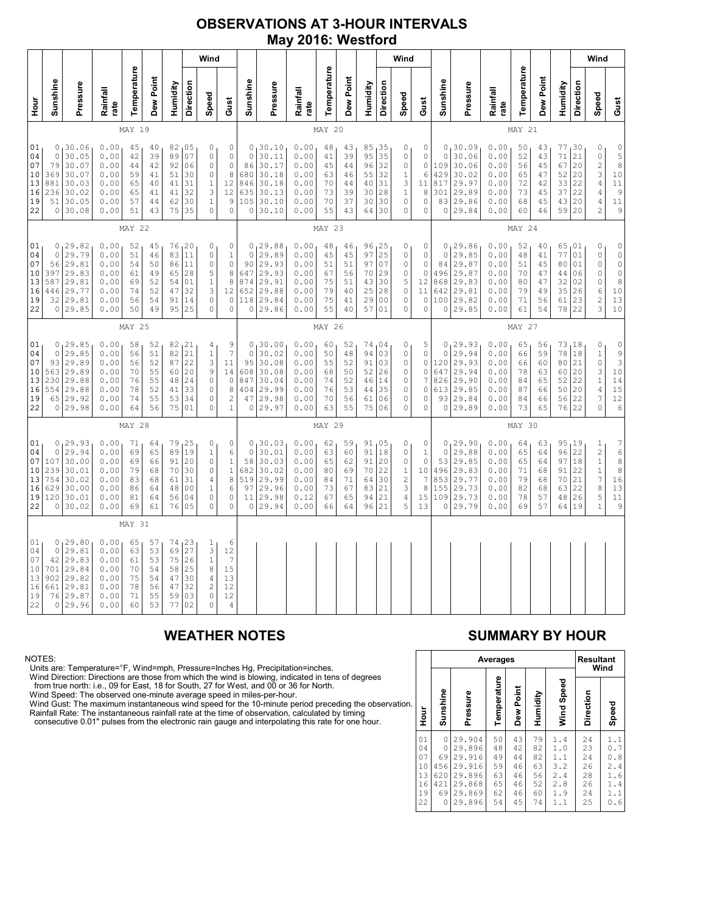### **OBSERVATIONS AT 3-HOUR INTERVALS May 2016: Westford**

|                                              |                                               |                                                                              |                                                              |                                              |                                              |                                              |                                                          | Wind                                                                                        |                                                                                          |                                                                  |                                                                             |                                                              |                                              |                                              |                                                 |                                                           | Wind                                                                                     |                                                                        |                                                      |                                                                         |                                                              |                                              |                                              |                                                 |                                                | Wind                                                                                      |                                                                                                   |
|----------------------------------------------|-----------------------------------------------|------------------------------------------------------------------------------|--------------------------------------------------------------|----------------------------------------------|----------------------------------------------|----------------------------------------------|----------------------------------------------------------|---------------------------------------------------------------------------------------------|------------------------------------------------------------------------------------------|------------------------------------------------------------------|-----------------------------------------------------------------------------|--------------------------------------------------------------|----------------------------------------------|----------------------------------------------|-------------------------------------------------|-----------------------------------------------------------|------------------------------------------------------------------------------------------|------------------------------------------------------------------------|------------------------------------------------------|-------------------------------------------------------------------------|--------------------------------------------------------------|----------------------------------------------|----------------------------------------------|-------------------------------------------------|------------------------------------------------|-------------------------------------------------------------------------------------------|---------------------------------------------------------------------------------------------------|
| no<br>H                                      | Sunshine                                      | Pressure                                                                     | Rainfall<br>rate                                             | Temperature                                  | Dew Point                                    | Humidity                                     | Direction                                                | Speed                                                                                       | Gust                                                                                     | Sunshine                                                         | Pressure                                                                    | Rainfall<br>rate                                             | Temperature                                  | Dew Point                                    | Humidity                                        | Direction                                                 | Speed                                                                                    | Gust                                                                   | Sunshine                                             | Pressure                                                                | Rainfall<br>rate                                             | Temperature                                  | Dew Point                                    | Humidity                                        | Direction                                      | Speed                                                                                     | Gust                                                                                              |
|                                              |                                               |                                                                              |                                                              | MAY 19                                       |                                              |                                              |                                                          |                                                                                             |                                                                                          |                                                                  |                                                                             |                                                              | MAY 20                                       |                                              |                                                 |                                                           |                                                                                          |                                                                        | MAY 21                                               |                                                                         |                                                              |                                              |                                              |                                                 |                                                |                                                                                           |                                                                                                   |
| 01<br>04<br>07<br>10<br>13<br>16<br>19<br>22 | $\circ$<br>79<br>369<br>881<br>236<br>51      | 0, 30.06<br>30.05<br>30.07<br>30.07<br>30.03<br>30.02<br>30.05<br>0 30.08    | 0.00<br>0.00<br>0.00<br>0.00<br>0.00<br>0.00<br>0.00<br>0.00 | 45<br>42<br>44<br>59<br>65<br>65<br>57<br>51 | 40<br>39<br>42<br>41<br>40<br>41<br>44<br>43 | 89<br>92<br>51<br>41<br>41<br>62<br>75       | 82,05<br>07<br>06<br>30<br>31<br>32<br>30<br>35          | 0<br>$\circ$<br>$\circ$<br>0<br>$\mathbf 1$<br>3<br>$1\,$<br>$\circ$                        | 0<br>$\circ$<br>$\mathbb O$<br>$\,8\,$<br>12<br>12<br>9<br>$\circ$                       | $\circ$<br>86<br>680<br>846<br>635<br>105<br>$\mathsf{O}\xspace$ | 0, 30.10<br>30.11<br>30.17<br>30.18<br>30.18<br>30.13<br>30.10<br>30.10     | 0.00<br>0.00<br>0.00<br>0.00<br>0.00<br>0.00<br>0.00<br>0.00 | 48<br>41<br>45<br>63<br>70<br>73<br>70<br>55 | 43<br>39<br>44<br>46<br>44<br>39<br>37<br>43 | 85<br>95<br>96<br>55<br>40<br>30<br>30<br>64    | 135<br>35<br>32<br>32<br>31<br>28<br>30<br>30             | 0<br>$\mathbb O$<br>$\mathbb O$<br>1<br>3<br>$\,1$<br>$\mathbb O$<br>0                   | 0<br>$\mathsf{O}\xspace$<br>$\circ$<br>6<br>11<br>8<br>0<br>0          | $\mathbb O$<br>109<br>429<br>817<br>301<br>83<br>0   | 0, 30.09<br>30.06<br>30.06<br>30.02<br>29.97<br>29.89<br>29.86<br>29.84 | 0.00<br>0.00<br>0.00<br>0.00<br>0.00<br>0.00<br>0.00<br>0.00 | 50<br>52<br>56<br>65<br>72<br>73<br>68<br>60 | 43<br>43<br>45<br>47<br>42<br>45<br>45<br>46 | 77<br>71<br>67<br>52<br>33<br>37<br>43<br>59    | 30 ا<br>21<br>20<br>20<br>22<br>22<br>20<br>20 | 0<br>$\circ$<br>$\frac{2}{3}$<br>$\sqrt{4}$<br>$\sqrt{4}$<br>4<br>$\overline{c}$          | $\begin{array}{c}\n0 \\ 5 \\ 8\n\end{array}$<br>$10$<br>$1\,1$<br>9<br>11<br>9                    |
|                                              | MAY 22                                        |                                                                              |                                                              |                                              |                                              |                                              |                                                          |                                                                                             | MAY 23                                                                                   |                                                                  |                                                                             |                                                              |                                              |                                              |                                                 |                                                           |                                                                                          | MAY 24                                                                 |                                                      |                                                                         |                                                              |                                              |                                              |                                                 |                                                |                                                                                           |                                                                                                   |
| 01<br>04<br>07<br>10<br>13<br>16<br>19<br>22 | $\circ$<br>56<br>397<br>587<br>446<br>32      | 0, 29.82<br>29.79<br>29.81<br>29.83<br>29.81<br>29.77<br>29.81<br>0 29.85    | 0.00<br>0.00<br>0.00<br>0.00<br>0.00<br>0.00<br>0.00<br>0.00 | 52<br>51<br>54<br>61<br>69<br>74<br>56<br>50 | 45<br>46<br>50<br>49<br>52<br>52<br>54<br>49 | 83<br>86<br>65<br>54<br>47<br>91<br>95       | 76, 20<br>11<br>11<br>28<br>01<br>32<br>14<br>25         | 0<br>$\circ$<br>$\mathbf 0$<br>5<br>$\mathbf{1}$<br>3<br>$\circ$<br>$\circ$                 | 0<br>$1\,$<br>$\overline{0}$<br>$\,$ 8 $\,$<br>8<br>12<br>0<br>$\circ$                   | $\circ$<br>90<br>647<br>874<br>652<br>0                          | 0, 29.88<br>29.89<br>29.93<br>29.93<br>29.91<br>29.88<br>118 29.84<br>29.86 | 0.00<br>0.00<br>0.00<br>0.00<br>0.00<br>0.00<br>0.00<br>0.00 | 48<br>45<br>51<br>67<br>75<br>79<br>75<br>55 | 46<br>45<br>51<br>56<br>51<br>40<br>41<br>40 | 96<br>97<br>97<br>70<br>43<br>25<br>29<br>57    | 1 <sup>25</sup><br>25<br>07<br>29<br>30<br>28<br>00<br>01 | 0<br>$\mathbb O$<br>$\mathbf 0$<br>$\circ$<br>5<br>$\mathbb O$<br>$\circ$<br>$\circ$     | 0<br>0<br>$\circ$<br>$\circ$<br>$12 \,$<br>11<br>0<br>0                | $\circ$<br>84<br>496<br>868<br>642<br>100<br>$\circ$ | 0, 29.86<br>29.85<br>29.87<br>29.87<br>29.83<br>29.81<br>29.82<br>29.85 | 0.00<br>0.00<br>0.00<br>0.00<br>0.00<br>0.00<br>0.00<br>0.00 | 52<br>48<br>51<br>70<br>80<br>79<br>71<br>61 | 40<br>41<br>45<br>47<br>47<br>49<br>56<br>54 | 65<br>77<br>80<br>44<br>32<br>35<br>61<br>78    | 01<br>01<br>01<br>06<br>02<br>26<br>23<br>22   | 0<br>$\circ$<br>0<br>$\mathbb O$<br>0<br>6<br>$\overline{c}$<br>3                         | $\mathsf{O}\xspace$<br>$\begin{matrix} 0 \\ 0 \end{matrix}$<br>$\circ$<br>8<br>$10$<br>13<br>$10$ |
|                                              |                                               |                                                                              |                                                              | MAY 25                                       |                                              |                                              |                                                          |                                                                                             |                                                                                          |                                                                  |                                                                             |                                                              | MAY 26                                       |                                              |                                                 |                                                           |                                                                                          |                                                                        |                                                      |                                                                         |                                                              | MAY 27                                       |                                              |                                                 |                                                |                                                                                           |                                                                                                   |
| 01<br>04<br>07<br>10<br>13<br>16<br>19<br>22 | $\circ$<br>93<br>563<br>230<br>554            | 0, 29.85<br>29.85<br>29.89<br>29.89<br>29.88<br>29.88<br>65 29.92<br>0 29.98 | 0.00<br>0.00<br>0.00<br>0.00<br>0.00<br>0.00<br>0.00<br>0.00 | 58<br>56<br>56<br>70<br>76<br>78<br>74<br>64 | 52<br>51<br>52<br>55<br>55<br>52<br>55<br>56 | 82<br>82<br>87<br>60<br>48<br>41<br>53<br>75 | 21<br>21<br>22<br>20<br>24<br>33<br>34<br>01             | 4<br>$1\,$<br>3<br>9<br>$\circ$<br>$\circ$<br>$\circ$<br>$\circ$                            | 9<br>$\overline{7}$<br>11<br>14<br>$\circ$<br>$\,8\,$<br>$\overline{c}$<br>$\mathbf{1}$  | $\circ$<br>95<br>608<br>847<br>404<br>47<br>$\mathbb O$          | 0, 30.00<br>30.02<br>30.08<br>30.08<br>30.04<br>29.99<br>29.98<br>29.97     | 0.00<br>0.00<br>0.00<br>0.00<br>0.00<br>0.00<br>0.00<br>0.00 | 60<br>50<br>55<br>68<br>74<br>76<br>70<br>63 | 52<br>48<br>52<br>50<br>52<br>53<br>56<br>55 | 74<br>94<br>91<br>52<br>46<br>44<br>61<br>75    | 04<br>03<br>03<br>26<br>14<br>35<br>06<br>06              | 0<br>$\mathbb O$<br>$\mathbf 0$<br>$\circ$<br>0<br>$\circ$<br>$\mathbb O$<br>$\mathbf 0$ | 5<br>0<br>0<br>0<br>7<br>$\mathbb O$<br>0<br>0                         | $\circ$<br>120<br>647<br>826<br>613<br>93<br>$\circ$ | 0, 29.93<br>29.94<br>29.93<br>29.94<br>29.90<br>29.85<br>29.84<br>29.89 | 0.00<br>0.00<br>0.00<br>0.00<br>0.00<br>0.00<br>0.00<br>0.00 | 65<br>66<br>66<br>78<br>84<br>87<br>84<br>73 | 56<br>59<br>60<br>63<br>65<br>66<br>66<br>65 | 73<br>78<br>80<br>60<br>52<br>50<br>56<br>76 22 | 18<br>18<br>21<br>20<br>22<br>20<br>22         | 0<br>$\mathbf 1$<br>$\circ$<br>3<br>$1\,$<br>$\sqrt{4}$<br>$\overline{7}$<br>$\circ$      | $\begin{array}{c} 0 \\ 9 \\ 3 \end{array}$<br>$10$<br>14<br>15<br>12<br>6                         |
|                                              |                                               |                                                                              |                                                              | MAY 28                                       |                                              |                                              |                                                          |                                                                                             |                                                                                          |                                                                  |                                                                             |                                                              | MAY 29                                       |                                              |                                                 |                                                           |                                                                                          |                                                                        |                                                      |                                                                         |                                                              | MAY 30                                       |                                              |                                                 |                                                |                                                                                           |                                                                                                   |
| 01<br>04<br>07<br>10<br>13<br>16<br>19<br>22 | 0<br>107<br>239<br>754<br>629<br>120          | 0, 29.93<br>29.94<br>30.00<br>30.01<br>30.02<br>30.00<br>30.01<br>0 30.02    | 0.00<br>0.00<br>0.00<br>0.00<br>0.00<br>0.00<br>0.00<br>0.00 | 71<br>69<br>69<br>79<br>83<br>86<br>81<br>69 | 64<br>65<br>66<br>68<br>68<br>64<br>64<br>61 | 79<br>89<br>91<br>70<br>61<br>48<br>56<br>76 | 25<br>19<br>20<br>30<br>31<br>0 <sub>0</sub><br>04<br>05 | 0<br>$\mathbf{1}$<br>$\mathbf 0$<br>$\mathbb O$<br>4<br>$\mathbf{1}$<br>$\circ$<br>$\Omega$ | 0<br>6<br>$\mathbf 1$<br>$\mathbf 1$<br>$\,$ 8 $\,$<br>$\epsilon$<br>$\circ$<br>$\Omega$ | $\mathbf 0$<br>58<br>682<br>97<br>11<br>0                        | 0, 30.03<br>30.01<br>30.03<br>30.02<br>519 29.99<br>29.96<br>29.98<br>29.94 | 0.00<br>0.00<br>0.00<br>0.00<br>0.00<br>0.00<br>0.12<br>0.00 | 62<br>63<br>65<br>80<br>84<br>73<br>67<br>66 | 59<br>60<br>62<br>69<br>71<br>67<br>65<br>64 | 91,05<br>91<br>91<br>70<br>64<br>83<br>94<br>96 | 18<br>20<br>22<br>30<br>21<br>21<br>21                    | 0<br>$\mathbb O$<br>0<br>1<br>$\sqrt{2}$<br>$\ensuremath{\mathsf{3}}$<br>$\sqrt{4}$<br>5 | 0<br>1<br>$\mathbb O$<br>10<br>$\boldsymbol{7}$<br>$\,8\,$<br>15<br>13 | $\circ$<br>53<br>496<br>853<br>155<br>109<br>0       | 0, 29.90<br>29.88<br>29.85<br>29.83<br>29.77<br>29.73<br>29.73<br>29.79 | 0.00<br>0.00<br>0.00<br>0.00<br>0.00<br>0.00<br>0.00<br>0.00 | 64<br>65<br>65<br>71<br>79<br>82<br>78<br>69 | 63<br>64<br>64<br>68<br>68<br>68<br>57<br>57 | 95<br>96<br>97<br>91<br>70<br>63<br>48<br>64    | 19<br>22<br>18<br>22<br>21<br>22<br>26<br>19   | $\mathbf{1}$<br>$\overline{c}$<br>$\mathbf{1}$<br>$\frac{1}{7}$<br>8<br>5<br>$\mathbf{1}$ | 7688<br>888<br>16<br>13<br>11<br>9                                                                |
|                                              |                                               |                                                                              |                                                              | MAY 31                                       |                                              |                                              |                                                          |                                                                                             |                                                                                          |                                                                  |                                                                             |                                                              |                                              |                                              |                                                 |                                                           |                                                                                          |                                                                        |                                                      |                                                                         |                                                              |                                              |                                              |                                                 |                                                |                                                                                           |                                                                                                   |
| 01<br>04<br>07<br>10<br>13<br>16<br>19<br>22 | 0<br>42<br>701<br>902<br>661<br>76<br>$\circ$ | 0, 29.80<br>29.81<br>29.83<br>29.84<br>29.82<br>29.81<br>29.87<br>29.96      | 0.00<br>0.00<br>0.00<br>0.00<br>0.00<br>0.00<br>0.00<br>0.00 | 65<br>63<br>61<br>70<br>75<br>78<br>71<br>60 | 57<br>53<br>53<br>54<br>54<br>56<br>55<br>53 | 74<br>69<br>75<br>58<br>47<br>47<br>59<br>77 | 123<br>27<br>26<br>25<br>30<br>32<br>03<br>02            | $\frac{1}{3}$<br>$\mathbf{1}$<br>8<br>$\sqrt{4}$<br>$\overline{c}$<br>$\circ$<br>$\Omega$   | 6<br>12<br>7<br>15<br>13<br>12<br>12<br>4                                                |                                                                  |                                                                             |                                                              |                                              |                                              |                                                 |                                                           |                                                                                          |                                                                        |                                                      |                                                                         |                                                              |                                              |                                              |                                                 |                                                |                                                                                           |                                                                                                   |

NOTES:<br>Units are: Temperature=°F, Wind=mph, Pressure=Inches Hg, Precipitation=inches.<br>Units are: Temperature=°F, Wind=mph, Pressure=Inches Hg, Precipitation=inches.<br>from true north: i.e., 09 for East, 18 for South, 27 for

## **WEATHER NOTES SUMMARY BY HOUR**

|    |                                              |                                                     |                                                                              | <b>Averages</b>                              |                                              | <b>Resultant</b><br>Wind                     |                                                      |                                              |                                                              |  |
|----|----------------------------------------------|-----------------------------------------------------|------------------------------------------------------------------------------|----------------------------------------------|----------------------------------------------|----------------------------------------------|------------------------------------------------------|----------------------------------------------|--------------------------------------------------------------|--|
| n. | Hour                                         | Sunshine                                            | Pressure                                                                     | Temperature                                  | Dew Point                                    | Humidity                                     | Wind Speed                                           | Direction                                    | Speed                                                        |  |
|    | 01<br>04<br>07<br>10<br>13<br>16<br>19<br>22 | 0<br>$\Omega$<br>69<br>456<br>620<br>421<br>69<br>0 | 29.904<br>29.896<br>29.916<br>29.916<br>29.896<br>29.868<br>29.869<br>29.896 | 50<br>48<br>49<br>59<br>63<br>65<br>62<br>54 | 43<br>42<br>44<br>46<br>46<br>46<br>46<br>45 | 79<br>82<br>82<br>63<br>56<br>52<br>60<br>74 | 1.4<br>1.0<br>1.1<br>3.2<br>2.4<br>2.8<br>1.9<br>1.1 | 24<br>23<br>24<br>26<br>28<br>26<br>24<br>25 | 1.1<br>0<br>.7<br>.8<br>0<br>2.4<br>1.6<br>1.4<br>1.1<br>0.6 |  |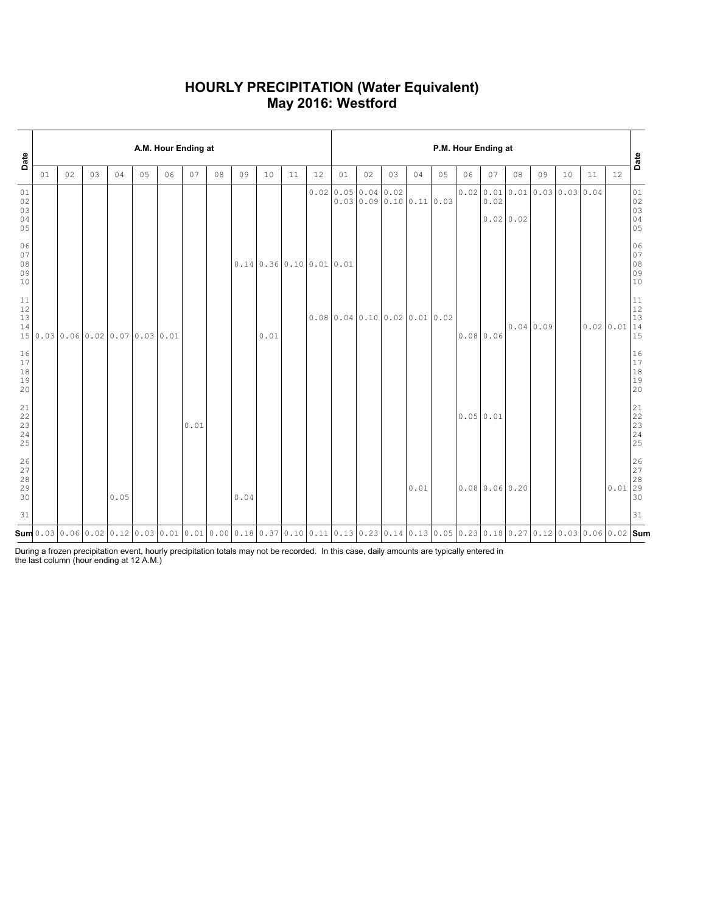### **HOURLY PRECIPITATION (Water Equivalent) May 2016: Westford**

| Date                                                      |    | A.M. Hour Ending at |    |                                  |    |    |      |    |                                                                                                                                                                                                                                                                                                                    |                                                |    |    |                            |      |      |      |                         | P.M. Hour Ending at |                  |                  |           |                                 |    |           | Date                                                         |
|-----------------------------------------------------------|----|---------------------|----|----------------------------------|----|----|------|----|--------------------------------------------------------------------------------------------------------------------------------------------------------------------------------------------------------------------------------------------------------------------------------------------------------------------|------------------------------------------------|----|----|----------------------------|------|------|------|-------------------------|---------------------|------------------|------------------|-----------|---------------------------------|----|-----------|--------------------------------------------------------------|
|                                                           | 01 | 02                  | 03 | 04                               | 05 | 06 | 07   | 08 | 09                                                                                                                                                                                                                                                                                                                 | 10                                             | 11 | 12 | 01                         | 02   | 03   | 04   | 05                      | 06                  | 07               | 08               | 09        | 10                              | 11 | 12        |                                                              |
| 01<br>02<br>03<br>04<br>05                                |    |                     |    |                                  |    |    |      |    |                                                                                                                                                                                                                                                                                                                    |                                                |    |    | 0.0200.05                  | 0.04 | 0.02 |      | 0.0300.090.1000.1100.03 |                     | 0.02             | $0.02 \mid 0.02$ |           | $0.02$ 0.01 0.01 0.03 0.03 0.04 |    |           | 01<br>02<br>03<br>04<br>05                                   |
| 06<br>07<br>08<br>09<br>10                                |    |                     |    |                                  |    |    |      |    |                                                                                                                                                                                                                                                                                                                    | $0.14 \mid 0.36 \mid 0.10 \mid 0.01 \mid 0.01$ |    |    |                            |      |      |      |                         |                     |                  |                  |           |                                 |    |           | 06<br>$\begin{array}{c} 0 \\ 0 \\ 8 \end{array}$<br>09<br>10 |
| 11<br>$12$<br>13<br>14                                    |    |                     |    | 15 0.03 0.06 0.02 0.07 0.03 0.01 |    |    |      |    |                                                                                                                                                                                                                                                                                                                    | 0.01                                           |    |    | 0.0800.040.1000.020.010.02 |      |      |      |                         |                     | 0.080.06         |                  | 0.04 0.09 |                                 |    | 0.0200.01 | 11<br>12<br>13<br> 14<br>15                                  |
| 16<br>17<br>$1\,8$<br>19<br>20                            |    |                     |    |                                  |    |    |      |    |                                                                                                                                                                                                                                                                                                                    |                                                |    |    |                            |      |      |      |                         |                     |                  |                  |           |                                 |    |           | 16<br>$17$<br>$1\,8$<br>19<br>20                             |
| $\begin{array}{c} 21 \\ 22 \end{array}$<br>23<br>24<br>25 |    |                     |    |                                  |    |    | 0.01 |    |                                                                                                                                                                                                                                                                                                                    |                                                |    |    |                            |      |      |      |                         | 0.0500.01           |                  |                  |           |                                 |    |           | 21<br>$\frac{22}{23}$<br>23<br>24<br>25                      |
| 26<br>27<br>28<br>29<br>30                                |    |                     |    | 0.05                             |    |    |      |    | 0.04                                                                                                                                                                                                                                                                                                               |                                                |    |    |                            |      |      | 0.01 |                         |                     | $0.08$ 0.06 0.20 |                  |           |                                 |    | $0.01$ 29 | 26<br>$\begin{array}{c} 27 \\ 28 \end{array}$<br>30          |
| 31                                                        |    |                     |    |                                  |    |    |      |    |                                                                                                                                                                                                                                                                                                                    |                                                |    |    |                            |      |      |      |                         |                     |                  |                  |           |                                 |    |           | 31                                                           |
|                                                           |    |                     |    |                                  |    |    |      |    | $\mathsf{Sum}$ 0.03 $\mid$ 0.06 $\mid$ 0.02 $\mid$ 0.12 $\mid$ 0.03 $\mid$ 0.01 $\mid$ 0.01 $\mid$ 0.00 $\mid$ 0.18 $\mid$ 0.37 $\mid$ 0.10 $\mid$ 0.11 $\mid$ 0.13 $\mid$ 0.23 $\mid$ 0.14 $\mid$ 0.13 $\mid$ 0.05 $\mid$ 0.23 $\mid$ 0.18 $\mid$ 0.27 $\mid$ 0.12 $\mid$ 0.03 $\mid$ 0.06 $\mid$ 0.02 $\mid$ Sum |                                                |    |    |                            |      |      |      |                         |                     |                  |                  |           |                                 |    |           |                                                              |

During a frozen precipitation event, hourly precipitation totals may not be recorded. In this case, daily amounts are typically entered in the last column (hour ending at 12 A.M.)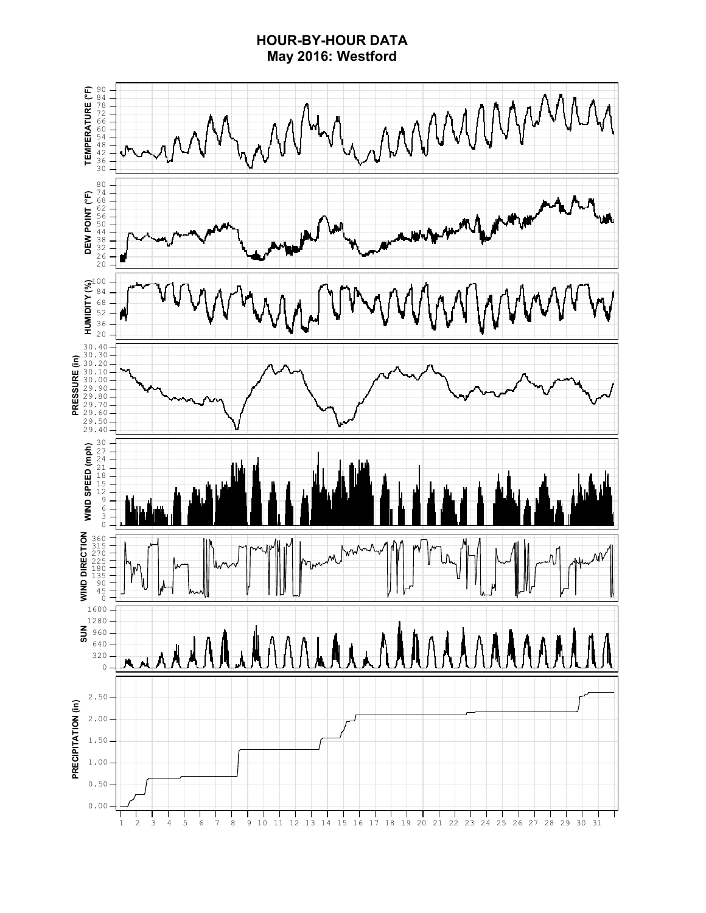### **HOUR-BY-HOUR DATA May 2016: Westford**